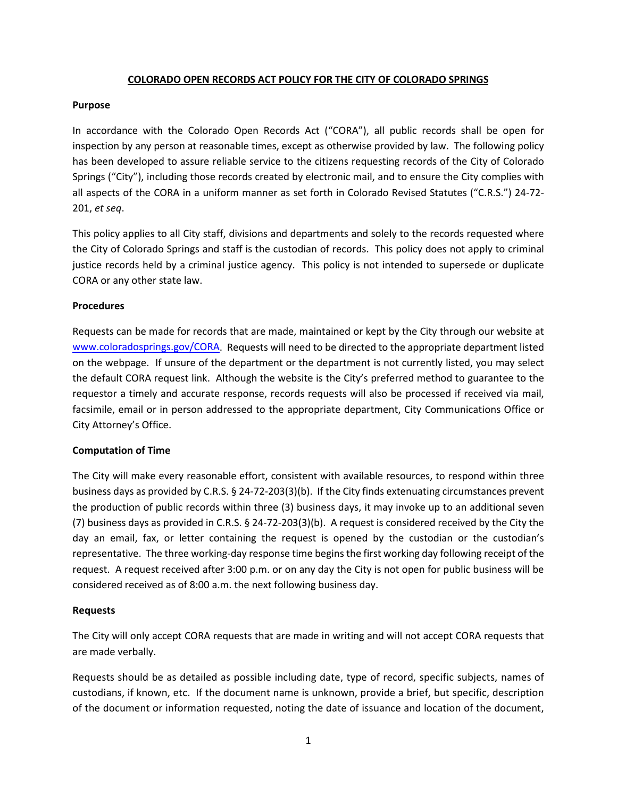# **COLORADO OPEN RECORDS ACT POLICY FOR THE CITY OF COLORADO SPRINGS**

### **Purpose**

In accordance with the Colorado Open Records Act ("CORA"), all public records shall be open for inspection by any person at reasonable times, except as otherwise provided by law. The following policy has been developed to assure reliable service to the citizens requesting records of the City of Colorado Springs ("City"), including those records created by electronic mail, and to ensure the City complies with all aspects of the CORA in a uniform manner as set forth in Colorado Revised Statutes ("C.R.S.") 24-72- 201, *et seq*.

This policy applies to all City staff, divisions and departments and solely to the records requested where the City of Colorado Springs and staff is the custodian of records. This policy does not apply to criminal justice records held by a criminal justice agency. This policy is not intended to supersede or duplicate CORA or any other state law.

## **Procedures**

Requests can be made for records that are made, maintained or kept by the City through our website at [www.coloradosprings.gov/CORA.](http://www.coloradosprings.gov/CORA) Requests will need to be directed to the appropriate department listed on the webpage. If unsure of the department or the department is not currently listed, you may select the default CORA request link. Although the website is the City's preferred method to guarantee to the requestor a timely and accurate response, records requests will also be processed if received via mail, facsimile, email or in person addressed to the appropriate department, City Communications Office or City Attorney's Office.

# **Computation of Time**

The City will make every reasonable effort, consistent with available resources, to respond within three business days as provided by C.R.S. § 24-72-203(3)(b). If the City finds extenuating circumstances prevent the production of public records within three (3) business days, it may invoke up to an additional seven (7) business days as provided in C.R.S. § 24-72-203(3)(b). A request is considered received by the City the day an email, fax, or letter containing the request is opened by the custodian or the custodian's representative. The three working-day response time begins the first working day following receipt of the request. A request received after 3:00 p.m. or on any day the City is not open for public business will be considered received as of 8:00 a.m. the next following business day.

### **Requests**

The City will only accept CORA requests that are made in writing and will not accept CORA requests that are made verbally.

Requests should be as detailed as possible including date, type of record, specific subjects, names of custodians, if known, etc. If the document name is unknown, provide a brief, but specific, description of the document or information requested, noting the date of issuance and location of the document,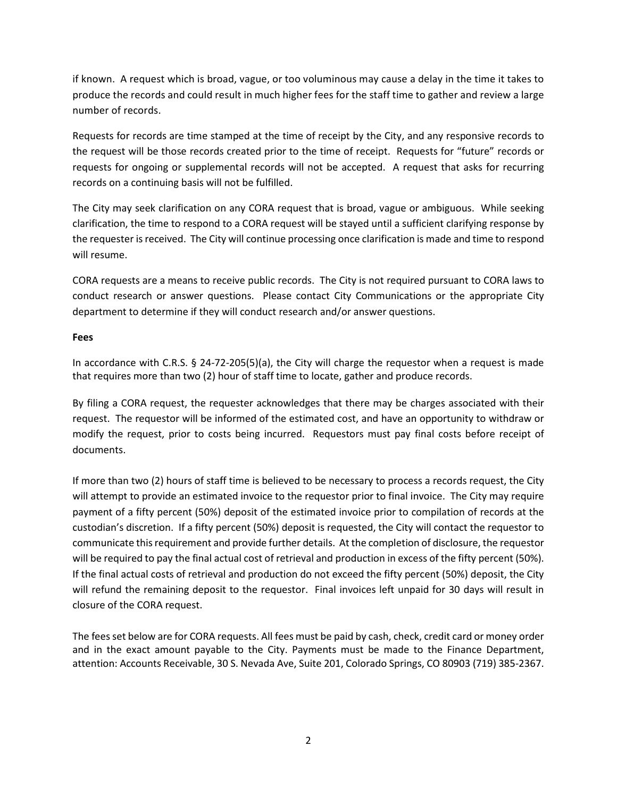if known. A request which is broad, vague, or too voluminous may cause a delay in the time it takes to produce the records and could result in much higher fees for the staff time to gather and review a large number of records.

Requests for records are time stamped at the time of receipt by the City, and any responsive records to the request will be those records created prior to the time of receipt. Requests for "future" records or requests for ongoing or supplemental records will not be accepted. A request that asks for recurring records on a continuing basis will not be fulfilled.

The City may seek clarification on any CORA request that is broad, vague or ambiguous. While seeking clarification, the time to respond to a CORA request will be stayed until a sufficient clarifying response by the requester is received. The City will continue processing once clarification is made and time to respond will resume.

CORA requests are a means to receive public records. The City is not required pursuant to CORA laws to conduct research or answer questions. Please contact City Communications or the appropriate City department to determine if they will conduct research and/or answer questions.

# **Fees**

In accordance with C.R.S. § 24-72-205(5)(a), the City will charge the requestor when a request is made that requires more than two (2) hour of staff time to locate, gather and produce records.

By filing a CORA request, the requester acknowledges that there may be charges associated with their request. The requestor will be informed of the estimated cost, and have an opportunity to withdraw or modify the request, prior to costs being incurred. Requestors must pay final costs before receipt of documents.

If more than two (2) hours of staff time is believed to be necessary to process a records request, the City will attempt to provide an estimated invoice to the requestor prior to final invoice. The City may require payment of a fifty percent (50%) deposit of the estimated invoice prior to compilation of records at the custodian's discretion. If a fifty percent (50%) deposit is requested, the City will contact the requestor to communicate this requirement and provide further details. At the completion of disclosure, the requestor will be required to pay the final actual cost of retrieval and production in excess of the fifty percent (50%). If the final actual costs of retrieval and production do not exceed the fifty percent (50%) deposit, the City will refund the remaining deposit to the requestor. Final invoices left unpaid for 30 days will result in closure of the CORA request.

The fees set below are for CORA requests. All fees must be paid by cash, check, credit card or money order and in the exact amount payable to the City. Payments must be made to the Finance Department, attention: Accounts Receivable, 30 S. Nevada Ave, Suite 201, Colorado Springs, CO 80903 (719) 385-2367.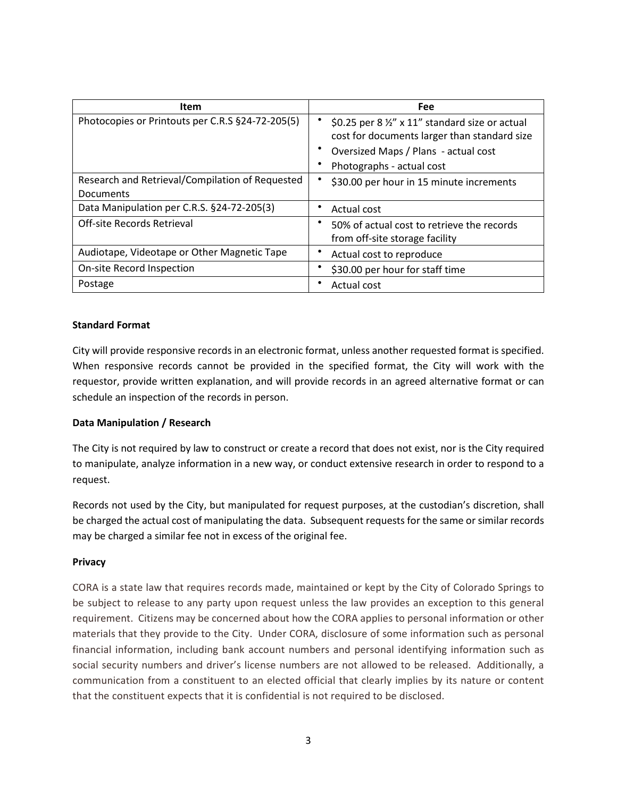| <b>Item</b>                                                         | Fee                                                                                                                                                                  |
|---------------------------------------------------------------------|----------------------------------------------------------------------------------------------------------------------------------------------------------------------|
| Photocopies or Printouts per C.R.S §24-72-205(5)                    | \$0.25 per 8 1/2" x 11" standard size or actual<br>cost for documents larger than standard size<br>Oversized Maps / Plans - actual cost<br>Photographs - actual cost |
| Research and Retrieval/Compilation of Requested<br><b>Documents</b> | \$30.00 per hour in 15 minute increments                                                                                                                             |
| Data Manipulation per C.R.S. §24-72-205(3)                          | Actual cost                                                                                                                                                          |
| Off-site Records Retrieval                                          | 50% of actual cost to retrieve the records<br>from off-site storage facility                                                                                         |
| Audiotape, Videotape or Other Magnetic Tape                         | Actual cost to reproduce                                                                                                                                             |
| On-site Record Inspection                                           | \$30.00 per hour for staff time                                                                                                                                      |
| Postage                                                             | Actual cost                                                                                                                                                          |

## **Standard Format**

City will provide responsive records in an electronic format, unless another requested format is specified. When responsive records cannot be provided in the specified format, the City will work with the requestor, provide written explanation, and will provide records in an agreed alternative format or can schedule an inspection of the records in person.

### **Data Manipulation / Research**

The City is not required by law to construct or create a record that does not exist, nor is the City required to manipulate, analyze information in a new way, or conduct extensive research in order to respond to a request.

Records not used by the City, but manipulated for request purposes, at the custodian's discretion, shall be charged the actual cost of manipulating the data. Subsequent requests for the same or similar records may be charged a similar fee not in excess of the original fee.

### **Privacy**

CORA is a state law that requires records made, maintained or kept by the City of Colorado Springs to be subject to release to any party upon request unless the law provides an exception to this general requirement. Citizens may be concerned about how the CORA applies to personal information or other materials that they provide to the City. Under CORA, disclosure of some information such as personal financial information, including bank account numbers and personal identifying information such as social security numbers and driver's license numbers are not allowed to be released. Additionally, a communication from a constituent to an elected official that clearly implies by its nature or content that the constituent expects that it is confidential is not required to be disclosed.